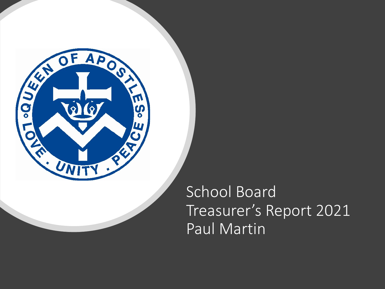

School Board Treasurer's Report 2021 Paul Martin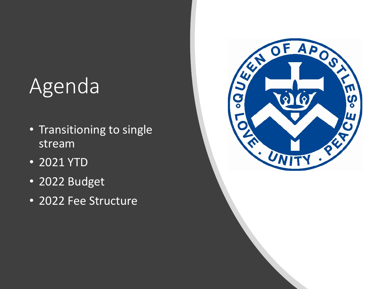# Agenda

- Transitioning to single stream
- 2021 YTD
- 2022 Budget
- 2022 Fee Structure

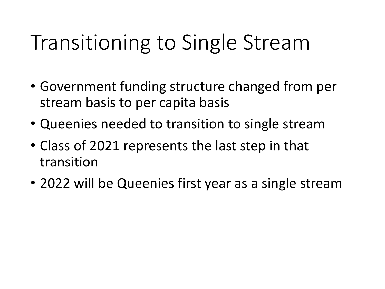# Transitioning to Single Stream

- Government funding structure changed from per stream basis to per capita basis
- Queenies needed to transition to single stream
- Class of 2021 represents the last step in that transition
- 2022 will be Queenies first year as a single stream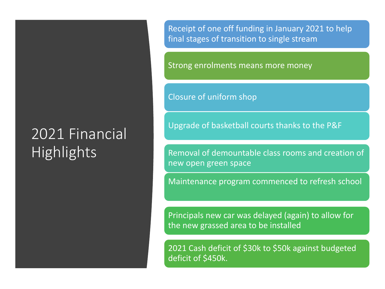### 2021 Financial **Highlights**

Receipt of one off funding in January 2021 to help final stages of transition to single stream

Strong enrolments means more money

Closure of uniform shop

Upgrade of basketball courts thanks to the P&F

Removal of demountable class rooms and creation of new open green space

Maintenance program commenced to refresh school

Principals new car was delayed (again) to allow for the new grassed area to be installed

2021 Cash deficit of \$30k to \$50k against budgeted deficit of \$450k.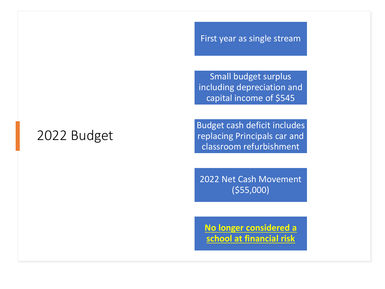#### First year as single stream

Small budget surplus including depreciation and capital income of \$545

### 2022 Budget

Budget cash deficit includes replacing Principals car and classroom refurbishment

2022 Net Cash Movement (\$55,000)

**No longer considered a school at financial risk**